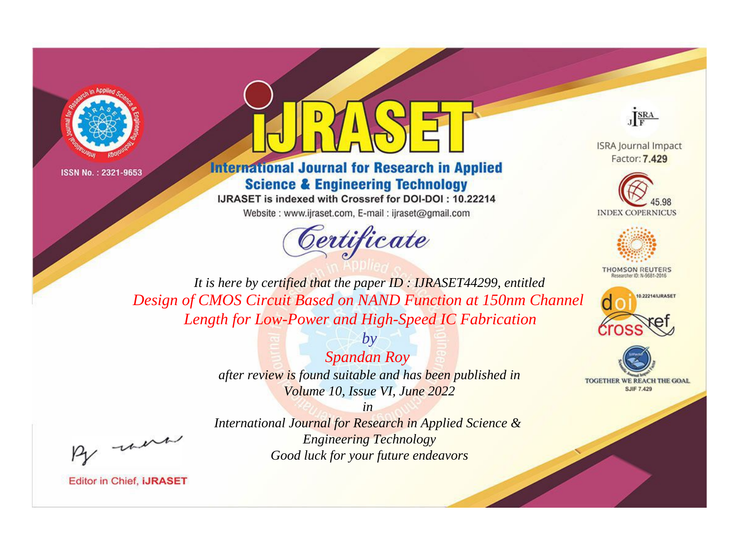



# **International Journal for Research in Applied Science & Engineering Technology**

IJRASET is indexed with Crossref for DOI-DOI: 10.22214

Website: www.ijraset.com, E-mail: ijraset@gmail.com





**ISRA Journal Impact** Factor: 7.429





**THOMSON REUTERS** 



TOGETHER WE REACH THE GOAL **SJIF 7.429** 

*It is here by certified that the paper ID : IJRASET44299, entitled Design of CMOS Circuit Based on NAND Function at 150nm Channel Length for Low-Power and High-Speed IC Fabrication*

> *by Spandan Roy after review is found suitable and has been published in Volume 10, Issue VI, June 2022*

, un

*International Journal for Research in Applied Science & Engineering Technology Good luck for your future endeavors*

*in*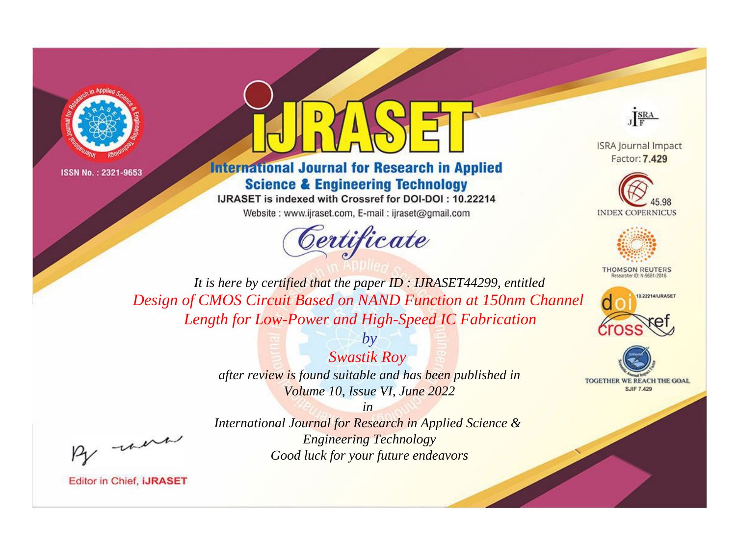



# **International Journal for Research in Applied Science & Engineering Technology**

IJRASET is indexed with Crossref for DOI-DOI: 10.22214

Website: www.ijraset.com, E-mail: ijraset@gmail.com





**ISRA Journal Impact** Factor: 7.429





**THOMSON REUTERS** 



TOGETHER WE REACH THE GOAL **SJIF 7.429** 

*It is here by certified that the paper ID : IJRASET44299, entitled Design of CMOS Circuit Based on NAND Function at 150nm Channel Length for Low-Power and High-Speed IC Fabrication*

> *by Swastik Roy after review is found suitable and has been published in Volume 10, Issue VI, June 2022*

, un

*International Journal for Research in Applied Science & Engineering Technology Good luck for your future endeavors*

*in*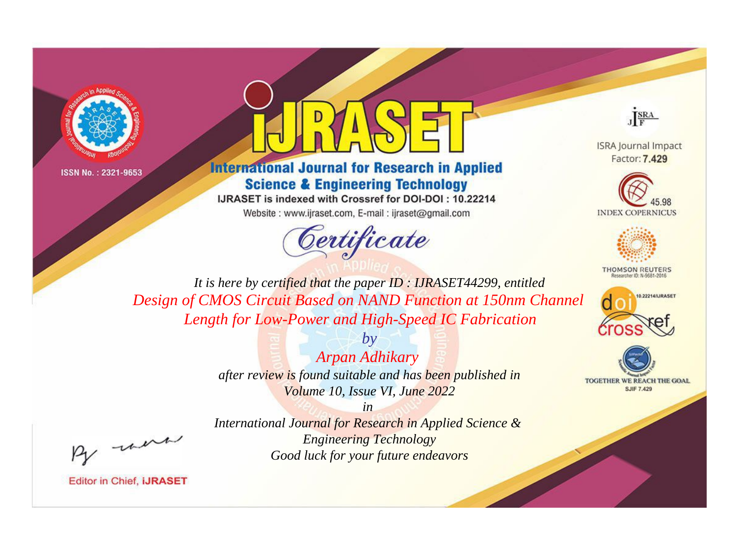



# **International Journal for Research in Applied Science & Engineering Technology**

IJRASET is indexed with Crossref for DOI-DOI: 10.22214

Website: www.ijraset.com, E-mail: ijraset@gmail.com





**ISRA Journal Impact** Factor: 7.429





**THOMSON REUTERS** 



TOGETHER WE REACH THE GOAL **SJIF 7.429** 

*It is here by certified that the paper ID : IJRASET44299, entitled Design of CMOS Circuit Based on NAND Function at 150nm Channel Length for Low-Power and High-Speed IC Fabrication*

> *by Arpan Adhikary after review is found suitable and has been published in Volume 10, Issue VI, June 2022*

, un

*International Journal for Research in Applied Science & Engineering Technology Good luck for your future endeavors*

*in*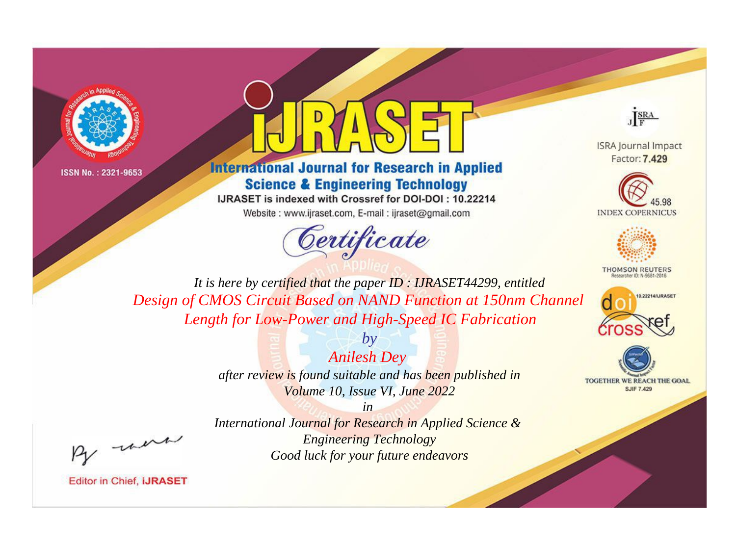



# **International Journal for Research in Applied Science & Engineering Technology**

IJRASET is indexed with Crossref for DOI-DOI: 10.22214

Website: www.ijraset.com, E-mail: ijraset@gmail.com





**ISRA Journal Impact** Factor: 7.429





**THOMSON REUTERS** 



TOGETHER WE REACH THE GOAL **SJIF 7.429** 

*It is here by certified that the paper ID : IJRASET44299, entitled Design of CMOS Circuit Based on NAND Function at 150nm Channel Length for Low-Power and High-Speed IC Fabrication*

> *by Anilesh Dey after review is found suitable and has been published in Volume 10, Issue VI, June 2022*

, un

*International Journal for Research in Applied Science & Engineering Technology Good luck for your future endeavors*

*in*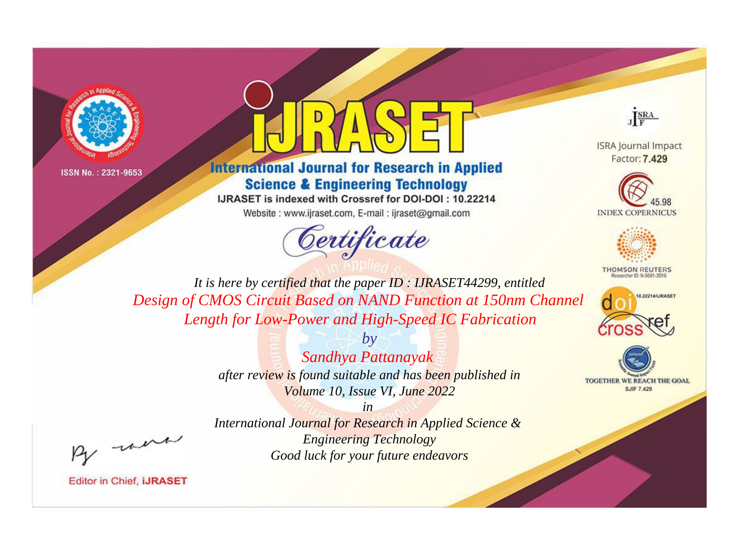



# **International Journal for Research in Applied Science & Engineering Technology**

IJRASET is indexed with Crossref for DOI-DOI: 10.22214

Website: www.ijraset.com, E-mail: ijraset@gmail.com





**ISRA Journal Impact** Factor: 7.429





**THOMSON REUTERS** 



TOGETHER WE REACH THE GOAL **SJIF 7.429** 

*It is here by certified that the paper ID : IJRASET44299, entitled Design of CMOS Circuit Based on NAND Function at 150nm Channel Length for Low-Power and High-Speed IC Fabrication*

> *by Sandhya Pattanayak after review is found suitable and has been published in Volume 10, Issue VI, June 2022*

, un

*International Journal for Research in Applied Science & Engineering Technology Good luck for your future endeavors*

*in*